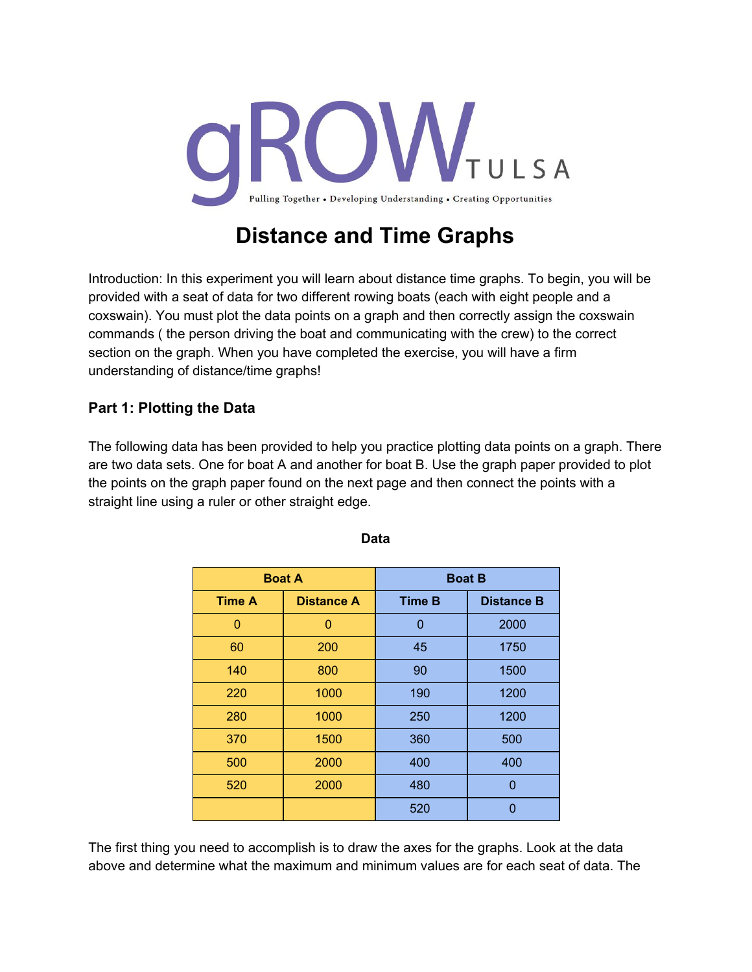

# **Distance and Time Graphs**

Introduction: In this experiment you will learn about distance time graphs. To begin, you will be provided with a seat of data for two different rowing boats (each with eight people and a coxswain). You must plot the data points on a graph and then correctly assign the coxswain commands ( the person driving the boat and communicating with the crew) to the correct section on the graph. When you have completed the exercise, you will have a firm understanding of distance/time graphs!

#### **Part 1: Plotting the Data**

The following data has been provided to help you practice plotting data points on a graph. There are two data sets. One for boat A and another for boat B. Use the graph paper provided to plot the points on the graph paper found on the next page and then connect the points with a straight line using a ruler or other straight edge.

| <b>Boat A</b> |                   | <b>Boat B</b> |                   |
|---------------|-------------------|---------------|-------------------|
| <b>Time A</b> | <b>Distance A</b> | <b>Time B</b> | <b>Distance B</b> |
| 0             | $\Omega$          | 0             | 2000              |
| 60            | 200               | 45            | 1750              |
| 140           | 800               | 90            | 1500              |
| 220           | 1000              | 190           | 1200              |
| 280           | 1000              | 250           | 1200              |
| 370           | 1500              | 360           | 500               |
| 500           | 2000              | 400           | 400               |
| 520           | 2000              | 480           | 0                 |
|               |                   | 520           | n                 |

**Data**

The first thing you need to accomplish is to draw the axes for the graphs. Look at the data above and determine what the maximum and minimum values are for each seat of data. The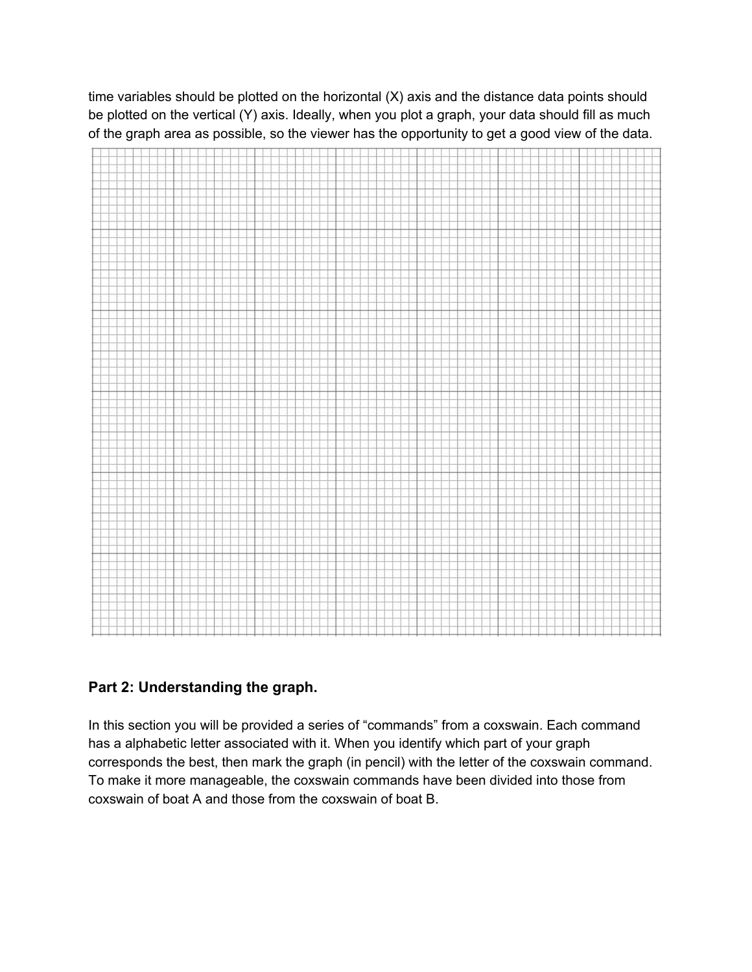time variables should be plotted on the horizontal (X) axis and the distance data points should be plotted on the vertical (Y) axis. Ideally, when you plot a graph, your data should fill as much of the graph area as possible, so the viewer has the opportunity to get a good view of the data.



## **Part 2: Understanding the graph.**

In this section you will be provided a series of "commands" from a coxswain. Each command has a alphabetic letter associated with it. When you identify which part of your graph corresponds the best, then mark the graph (in pencil) with the letter of the coxswain command. To make it more manageable, the coxswain commands have been divided into those from coxswain of boat A and those from the coxswain of boat B.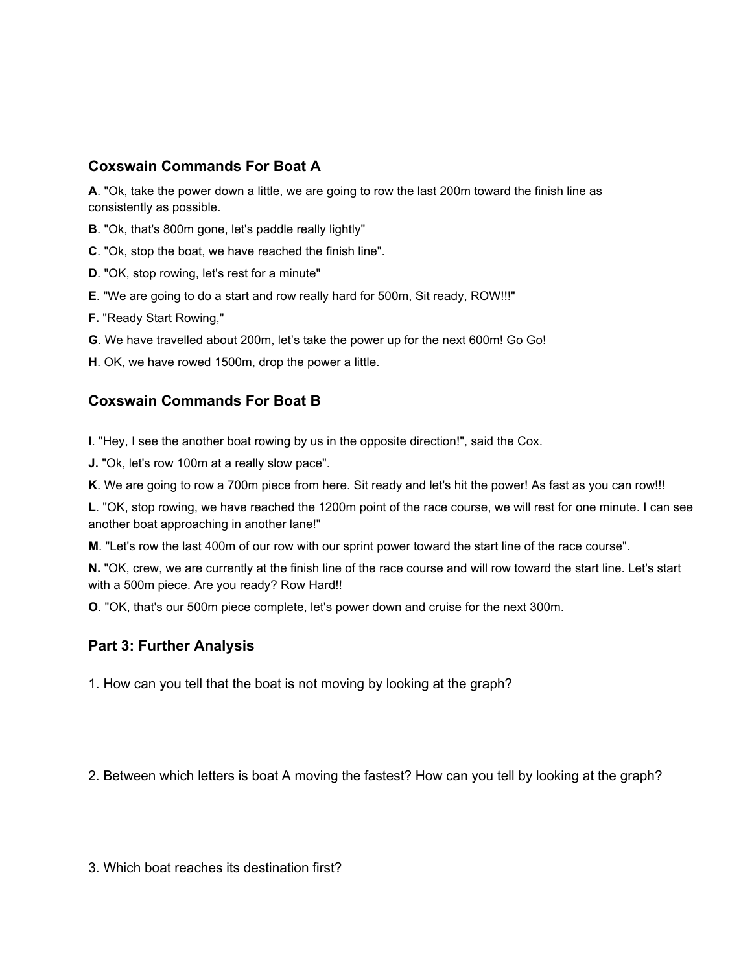#### **Coxswain Commands For Boat A**

**A**. "Ok, take the power down a little, we are going to row the last 200m toward the finish line as consistently as possible.

- **B**. "Ok, that's 800m gone, let's paddle really lightly"
- **C**. "Ok, stop the boat, we have reached the finish line".
- **D**. "OK, stop rowing, let's rest for a minute"
- **E**. "We are going to do a start and row really hard for 500m, Sit ready, ROW!!!"
- **F.** "Ready Start Rowing,"
- **G**. We have travelled about 200m, let's take the power up for the next 600m! Go Go!
- **H**. OK, we have rowed 1500m, drop the power a little.

#### **Coxswain Commands For Boat B**

**I**. "Hey, I see the another boat rowing by us in the opposite direction!", said the Cox.

**J.** "Ok, let's row 100m at a really slow pace".

**K**. We are going to row a 700m piece from here. Sit ready and let's hit the power! As fast as you can row!!!

**L**. "OK, stop rowing, we have reached the 1200m point of the race course, we will rest for one minute. I can see another boat approaching in another lane!"

**M**. "Let's row the last 400m of our row with our sprint power toward the start line of the race course".

**N.** "OK, crew, we are currently at the finish line of the race course and will row toward the start line. Let's start with a 500m piece. Are you ready? Row Hard!!

**O**. "OK, that's our 500m piece complete, let's power down and cruise for the next 300m.

#### **Part 3: Further Analysis**

1. How can you tell that the boat is not moving by looking at the graph?

2. Between which letters is boat A moving the fastest? How can you tell by looking at the graph?

3. Which boat reaches its destination first?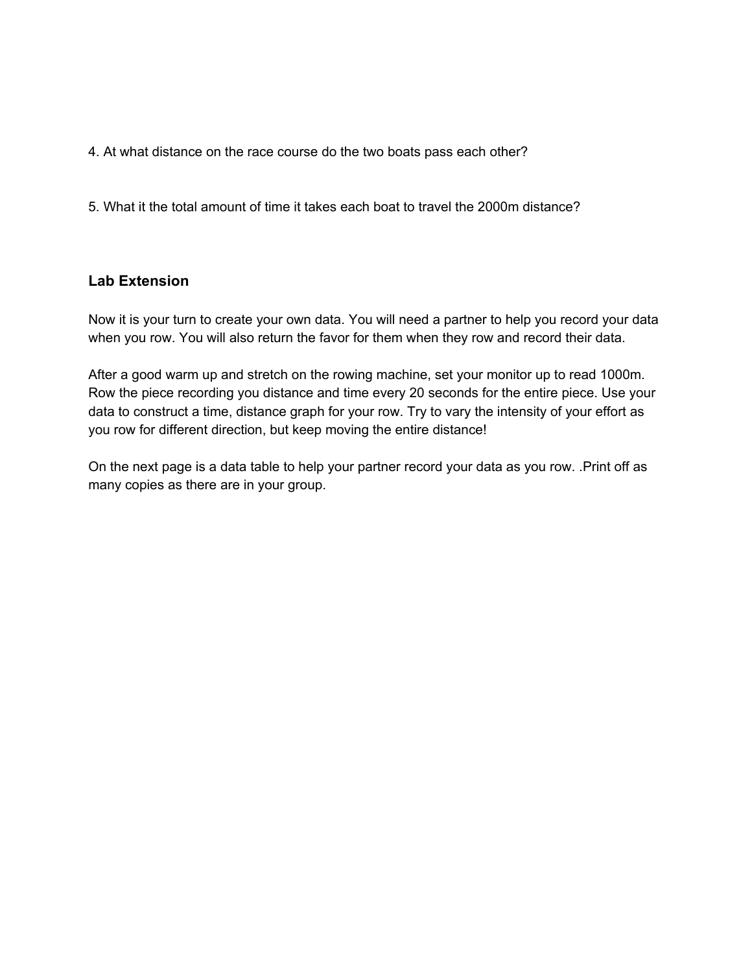4. At what distance on the race course do the two boats pass each other?

5. What it the total amount of time it takes each boat to travel the 2000m distance?

#### **Lab Extension**

Now it is your turn to create your own data. You will need a partner to help you record your data when you row. You will also return the favor for them when they row and record their data.

After a good warm up and stretch on the rowing machine, set your monitor up to read 1000m. Row the piece recording you distance and time every 20 seconds for the entire piece. Use your data to construct a time, distance graph for your row. Try to vary the intensity of your effort as you row for different direction, but keep moving the entire distance!

On the next page is a data table to help your partner record your data as you row. .Print off as many copies as there are in your group.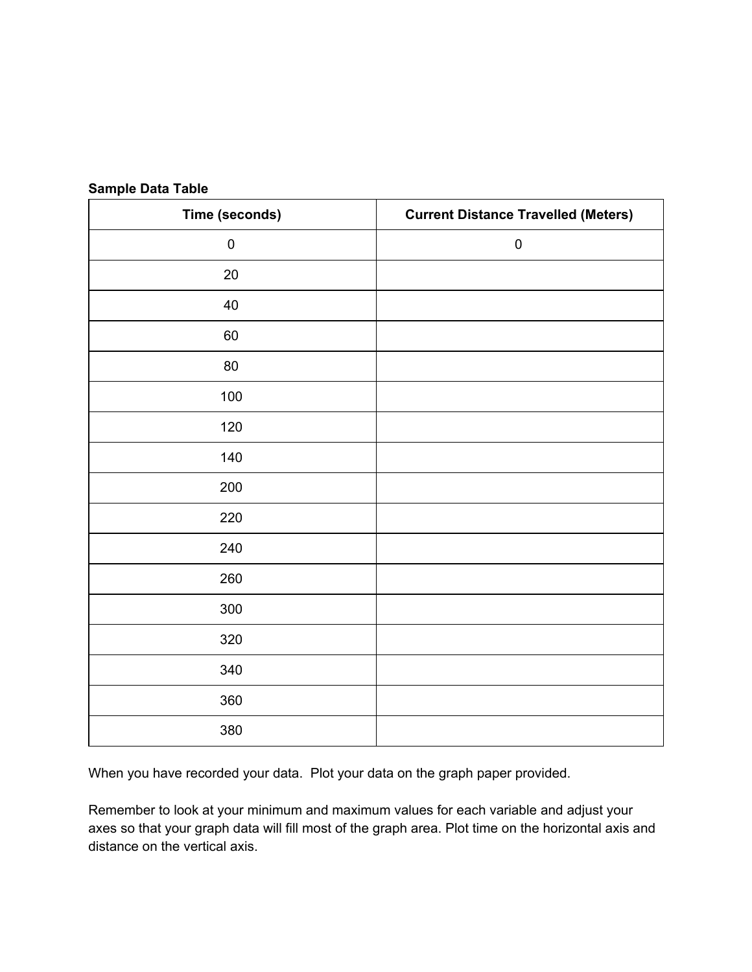| Time (seconds) | <b>Current Distance Travelled (Meters)</b> |
|----------------|--------------------------------------------|
| $\pmb{0}$      | $\pmb{0}$                                  |
| $20\,$         |                                            |
| $40\,$         |                                            |
| 60             |                                            |
| $80\,$         |                                            |
| 100            |                                            |
| 120            |                                            |
| 140            |                                            |
| 200            |                                            |
| 220            |                                            |
| 240            |                                            |
| 260            |                                            |
| 300            |                                            |
| 320            |                                            |
| 340            |                                            |
| 360            |                                            |
| 380            |                                            |

### **Sample Data Table**

When you have recorded your data. Plot your data on the graph paper provided.

Remember to look at your minimum and maximum values for each variable and adjust your axes so that your graph data will fill most of the graph area. Plot time on the horizontal axis and distance on the vertical axis.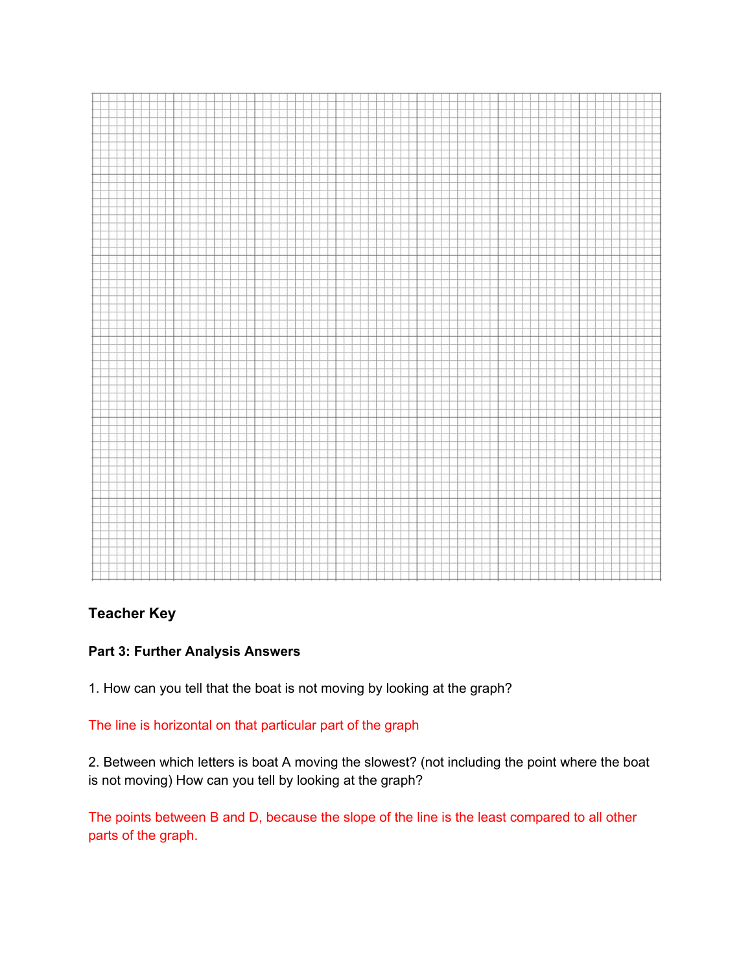

# **Teacher Key**

#### **Part 3: Further Analysis Answers**

1. How can you tell that the boat is not moving by looking at the graph?

#### The line is horizontal on that particular part of the graph

2. Between which letters is boat A moving the slowest? (not including the point where the boat is not moving) How can you tell by looking at the graph?

The points between B and D, because the slope of the line is the least compared to all other parts of the graph.